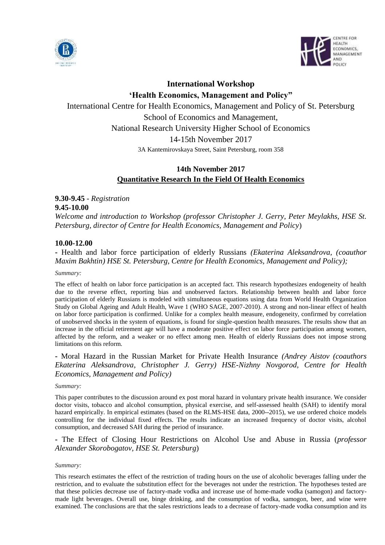



# **International Workshop**

**'Health Economics, Management and Policy"**

International Centre for Health Economics, Management and Policy of St. Petersburg School of Economics and Management, National Research University Higher School of Economics 14-15th November 2017 3A Kantemirovskaya Street, Saint Petersburg, room 358

# **14th November 2017 Quantitative Research In the Field Of Health Economics**

**9.30-9.45** - *Registration*

## **9.45-10.00**

*Welcome and introduction to Workshop (professor Christopher J. Gerry, Peter Meylakhs, HSE St. Petersburg, director of Centre for Health Economics, Management and Policy*)

## **10.00-12.00**

**-** Health and labor force participation of elderly Russians *(Ekaterina Aleksandrova, (coauthor Maxim Bakhtin) HSE St. Petersburg, Centre for Health Economics, Management and Policy);*

### *Summary:*

The effect of health on labor force participation is an accepted fact. This research hypothesizes endogeneity of health due to the reverse effect, reporting bias and unobserved factors. Relationship between health and labor force participation of elderly Russians is modeled with simultaneous equations using data from World Health Organization Study on Global Ageing and Adult Health, Wave 1 (WHO SAGE, 2007-2010). A strong and non-linear effect of health on labor force participation is confirmed. Unlike for a complex health measure, endogeneity, confirmed by correlation of unobserved shocks in the system of equations, is found for single-question health measures. The results show that an increase in the official retirement age will have a moderate positive effect on labor force participation among women, affected by the reform, and a weaker or no effect among men. Health of elderly Russians does not impose strong limitations on this reform.

**-** Moral Hazard in the Russian Market for Private Health Insurance *(Andrey Aistov (coauthors Ekaterina Aleksandrova, Christopher J. Gerry) HSE-Nizhny Novgorod, Centre for Health Economics, Management and Policy)*

#### *Summary:*

This paper contributes to the discussion around ex post moral hazard in voluntary private health insurance. We consider doctor visits, tobacco and alcohol consumption, physical exercise, and self-assessed health (SAH) to identify moral hazard empirically. In empirical estimates (based on the RLMS-HSE data, 2000--2015), we use ordered choice models controlling for the individual fixed effects. The results indicate an increased frequency of doctor visits, alcohol consumption, and decreased SAH during the period of insurance.

**-** The Effect of Closing Hour Restrictions on Alcohol Use and Abuse in Russia (*professor Alexander Skorobogatov, HSE St. Petersburg*)

#### *Summary:*

This research estimates the effect of the restriction of trading hours on the use of alcoholic beverages falling under the restriction, and to evaluate the substitution effect for the beverages not under the restriction. The hypotheses tested are that these policies decrease use of factory-made vodka and increase use of home-made vodka (samogon) and factorymade light beverages. Overall use, binge drinking, and the consumption of vodka, samogon, beer, and wine were examined. The conclusions are that the sales restrictions leads to a decrease of factory-made vodka consumption and its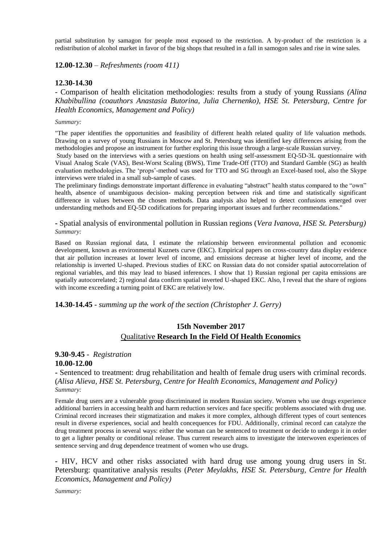partial substitution by samagon for people most exposed to the restriction. A by-product of the restriction is a redistribution of alcohol market in favor of the big shops that resulted in a fall in samogon sales and rise in wine sales.

**12.00-12.30** *– Refreshments (room 411)*

### **12.30-14.30**

*-* Comparison of health elicitation methodologies: results from a study of young Russians *(Alina Khabibullina (coauthors Anastasia Butorina, Julia Chernenko), HSE St. Petersburg, Centre for Health Economics, Management and Policy)*

#### *Summary:*

"The paper identifies the opportunities and feasibility of different health related quality of life valuation methods. Drawing on a survey of young Russians in Moscow and St. Petersburg was identified key differences arising from the methodologies and propose an instrument for further exploring this issue through a large-scale Russian survey.

Study based on the interviews with a series questions on health using self-assessment EQ-5D-3L questionnaire with Visual Analog Scale (VAS), Best-Worst Scaling (BWS), Time Trade-Off (TTO) and Standard Gamble (SG) as health evaluation methodologies. The 'props'-method was used for TTO and SG through an Excel-based tool, also the Skype interviews were trialed in a small sub-sample of cases.

The preliminary findings demonstrate important difference in evaluating "abstract" health status compared to the "own" health, absence of unambiguous decision- making perception between risk and time and statistically significant difference in values between the chosen methods. Data analysis also helped to detect confusions emerged over understanding methods and EQ-5D codifications for preparing important issues and further recommendations."

**-** Spatial analysis of environmental pollution in Russian regions (*Vera Ivanova, HSE St. Petersburg) Summary:*

Based on Russian regional data, I estimate the relationship between environmental pollution and economic development, known as environmental Kuznets curve (EKC). Empirical papers on cross-country data display evidence that air pollution increases at lower level of income, and emissions decrease at higher level of income, and the relationship is inverted U-shaped. Previous studies of EKC on Russian data do not consider spatial autocorrelation of regional variables, and this may lead to biased inferences. I show that 1) Russian regional per capita emissions are spatially autocorrelated; 2) regional data confirm spatial inverted U-shaped EKC. Also, I reveal that the share of regions with income exceeding a turning point of EKC are relatively low.

**14.30-14.45** *- summing up the work of the section (Christopher J. Gerry)*

# **15th November 2017** Qualitative **Research In the Field Of Health Economics**

# **9.30-9.45** - *Registration* **10.00-12.00**

**-** Sentenced to treatment: drug rehabilitation and health of female drug users with criminal records. (*Alisa Alieva, HSE St. Petersburg, Centre for Health Economics, Management and Policy) Summary:*

Female drug users are a vulnerable group discriminated in modern Russian society. Women who use drugs experience additional barriers in accessing health and harm reduction services and face specific problems associated with drug use. Criminal record increases their stigmatization and makes it more complex, although different types of court sentences result in diverse experiences, social and health concequences for FDU. Additionally, criminal record can catalyze the drug treatment process in several ways: either the woman can be sentenced to treatment or decide to undergo it in order to get a lighter penalty or conditional release. Thus current research aims to investigate the interwoven experiences of sentence serving and drug dependence treatment of women who use drugs.

**-** HIV, HCV and other risks associated with hard drug use among young drug users in St. Petersburg: quantitative analysis results (*Peter Meylakhs, HSE St. Petersburg, Centre for Health Economics, Management and Policy)*

*Summary:*